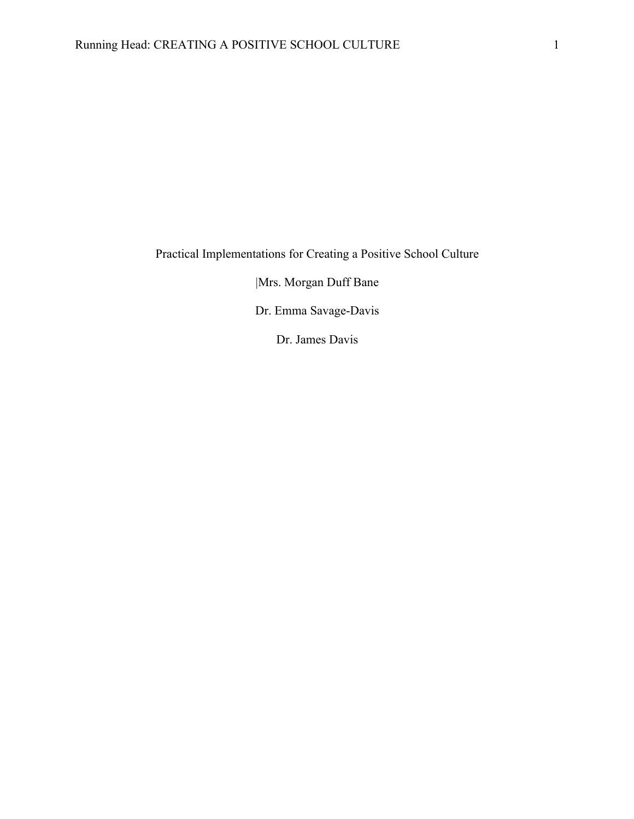Practical Implementations for Creating a Positive School Culture

|Mrs. Morgan Duff Bane

Dr. Emma Savage-Davis

Dr. James Davis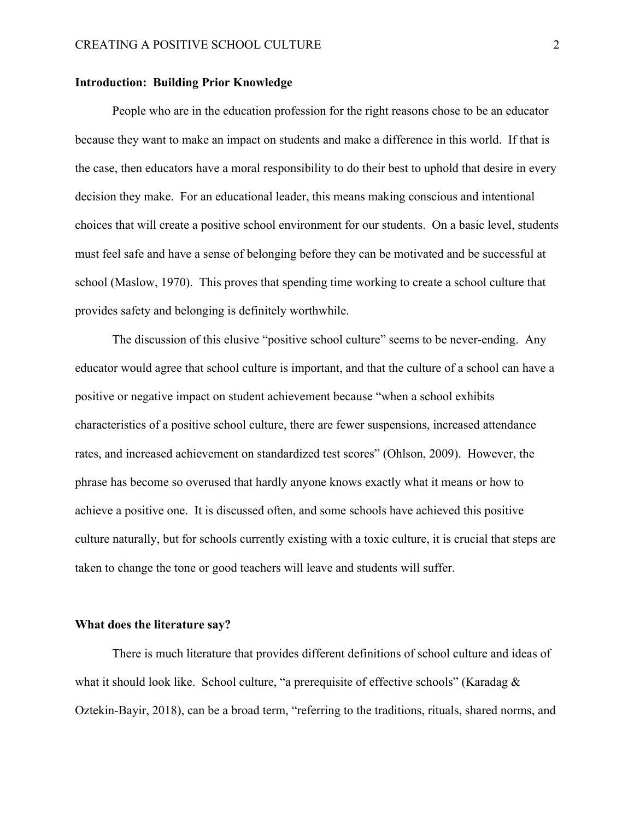## **Introduction: Building Prior Knowledge**

People who are in the education profession for the right reasons chose to be an educator because they want to make an impact on students and make a difference in this world. If that is the case, then educators have a moral responsibility to do their best to uphold that desire in every decision they make. For an educational leader, this means making conscious and intentional choices that will create a positive school environment for our students. On a basic level, students must feel safe and have a sense of belonging before they can be motivated and be successful at school (Maslow, 1970). This proves that spending time working to create a school culture that provides safety and belonging is definitely worthwhile.

The discussion of this elusive "positive school culture" seems to be never-ending. Any educator would agree that school culture is important, and that the culture of a school can have a positive or negative impact on student achievement because "when a school exhibits characteristics of a positive school culture, there are fewer suspensions, increased attendance rates, and increased achievement on standardized test scores" (Ohlson, 2009). However, the phrase has become so overused that hardly anyone knows exactly what it means or how to achieve a positive one. It is discussed often, and some schools have achieved this positive culture naturally, but for schools currently existing with a toxic culture, it is crucial that steps are taken to change the tone or good teachers will leave and students will suffer.

# **What does the literature say?**

There is much literature that provides different definitions of school culture and ideas of what it should look like. School culture, "a prerequisite of effective schools" (Karadag & Oztekin-Bayir, 2018), can be a broad term, "referring to the traditions, rituals, shared norms, and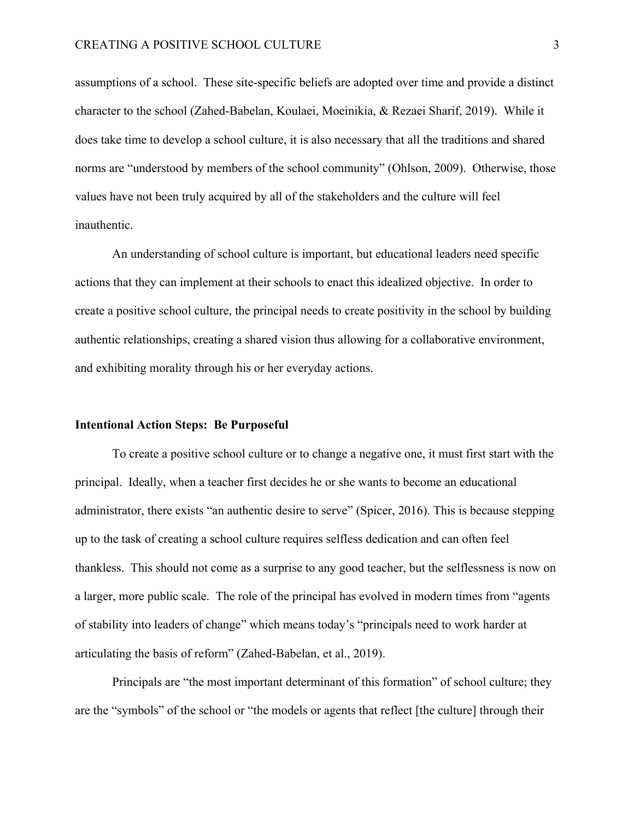assumptions of a school. These site-specific beliefs are adopted over time and provide a distinct character to the school (Zahed-Babelan, Koulaei, Moeinikia, & Rezaei Sharif, 2019). While it does take time to develop a school culture, it is also necessary that all the traditions and shared norms are "understood by members of the school community" (Ohlson, 2009). Otherwise, those values have not been truly acquired by all of the stakeholders and the culture will feel inauthentic.

An understanding of school culture is important, but educational leaders need specific actions that they can implement at their schools to enact this idealized objective. In order to create a positive school culture, the principal needs to create positivity in the school by building authentic relationships, creating a shared vision thus allowing for a collaborative environment, and exhibiting morality through his or her everyday actions.

#### **Intentional Action Steps: Be Purposeful**

To create a positive school culture or to change a negative one, it must first start with the principal. Ideally, when a teacher first decides he or she wants to become an educational administrator, there exists "an authentic desire to serve" (Spicer, 2016). This is because stepping up to the task of creating a school culture requires selfless dedication and can often feel thankless. This should not come as a surprise to any good teacher, but the selflessness is now on a larger, more public scale. The role of the principal has evolved in modern times from "agents of stability into leaders of change" which means today's "principals need to work harder at articulating the basis of reform" (Zahed-Babelan, et al., 2019).

Principals are "the most important determinant of this formation" of school culture; they are the "symbols" of the school or "the models or agents that reflect [the culture] through their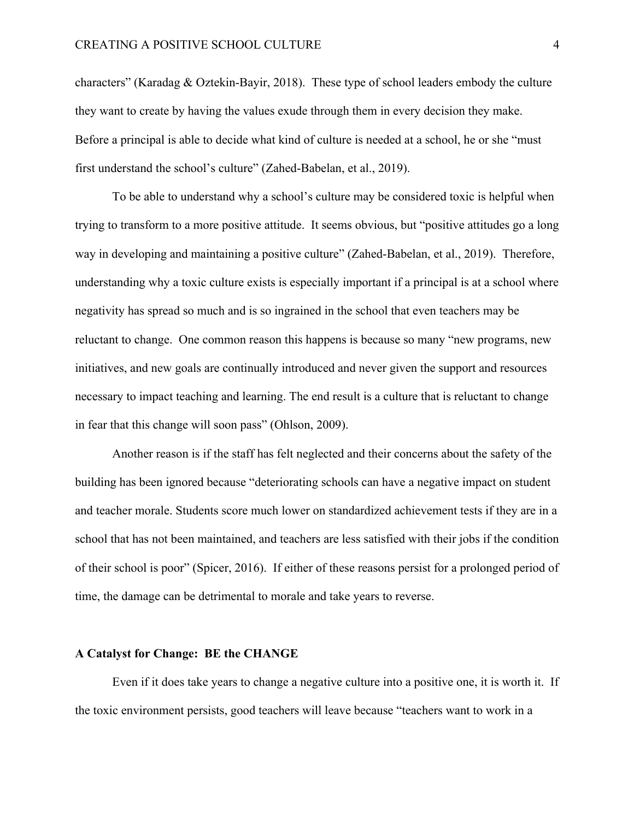characters" (Karadag & Oztekin-Bayir, 2018). These type of school leaders embody the culture they want to create by having the values exude through them in every decision they make. Before a principal is able to decide what kind of culture is needed at a school, he or she "must first understand the school's culture" (Zahed-Babelan, et al., 2019).

To be able to understand why a school's culture may be considered toxic is helpful when trying to transform to a more positive attitude. It seems obvious, but "positive attitudes go a long way in developing and maintaining a positive culture" (Zahed-Babelan, et al., 2019). Therefore, understanding why a toxic culture exists is especially important if a principal is at a school where negativity has spread so much and is so ingrained in the school that even teachers may be reluctant to change. One common reason this happens is because so many "new programs, new initiatives, and new goals are continually introduced and never given the support and resources necessary to impact teaching and learning. The end result is a culture that is reluctant to change in fear that this change will soon pass" (Ohlson, 2009).

Another reason is if the staff has felt neglected and their concerns about the safety of the building has been ignored because "deteriorating schools can have a negative impact on student and teacher morale. Students score much lower on standardized achievement tests if they are in a school that has not been maintained, and teachers are less satisfied with their jobs if the condition of their school is poor" (Spicer, 2016). If either of these reasons persist for a prolonged period of time, the damage can be detrimental to morale and take years to reverse.

## **A Catalyst for Change: BE the CHANGE**

Even if it does take years to change a negative culture into a positive one, it is worth it. If the toxic environment persists, good teachers will leave because "teachers want to work in a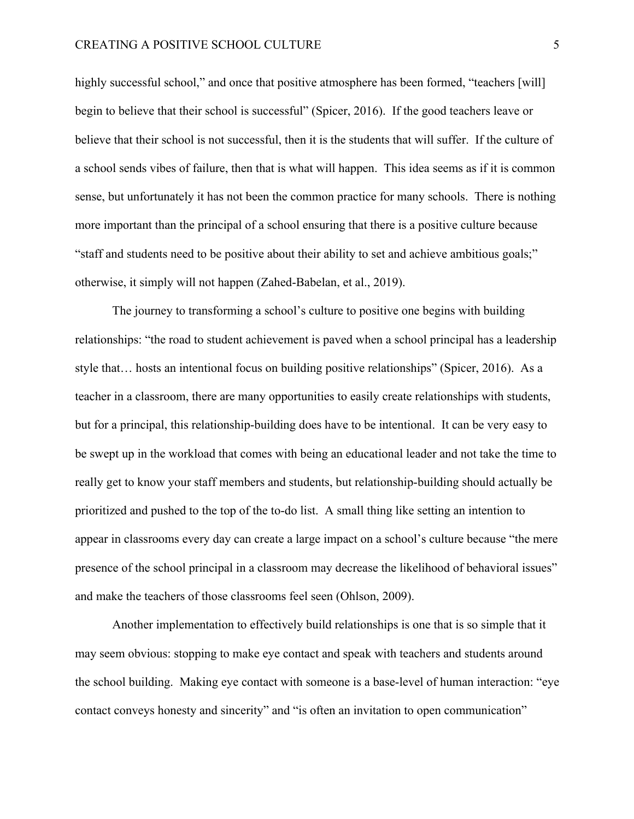highly successful school," and once that positive atmosphere has been formed, "teachers [will] begin to believe that their school is successful" (Spicer, 2016). If the good teachers leave or believe that their school is not successful, then it is the students that will suffer. If the culture of a school sends vibes of failure, then that is what will happen. This idea seems as if it is common sense, but unfortunately it has not been the common practice for many schools. There is nothing more important than the principal of a school ensuring that there is a positive culture because "staff and students need to be positive about their ability to set and achieve ambitious goals;" otherwise, it simply will not happen (Zahed-Babelan, et al., 2019).

The journey to transforming a school's culture to positive one begins with building relationships: "the road to student achievement is paved when a school principal has a leadership style that… hosts an intentional focus on building positive relationships" (Spicer, 2016). As a teacher in a classroom, there are many opportunities to easily create relationships with students, but for a principal, this relationship-building does have to be intentional. It can be very easy to be swept up in the workload that comes with being an educational leader and not take the time to really get to know your staff members and students, but relationship-building should actually be prioritized and pushed to the top of the to-do list. A small thing like setting an intention to appear in classrooms every day can create a large impact on a school's culture because "the mere presence of the school principal in a classroom may decrease the likelihood of behavioral issues" and make the teachers of those classrooms feel seen (Ohlson, 2009).

Another implementation to effectively build relationships is one that is so simple that it may seem obvious: stopping to make eye contact and speak with teachers and students around the school building. Making eye contact with someone is a base-level of human interaction: "eye contact conveys honesty and sincerity" and "is often an invitation to open communication"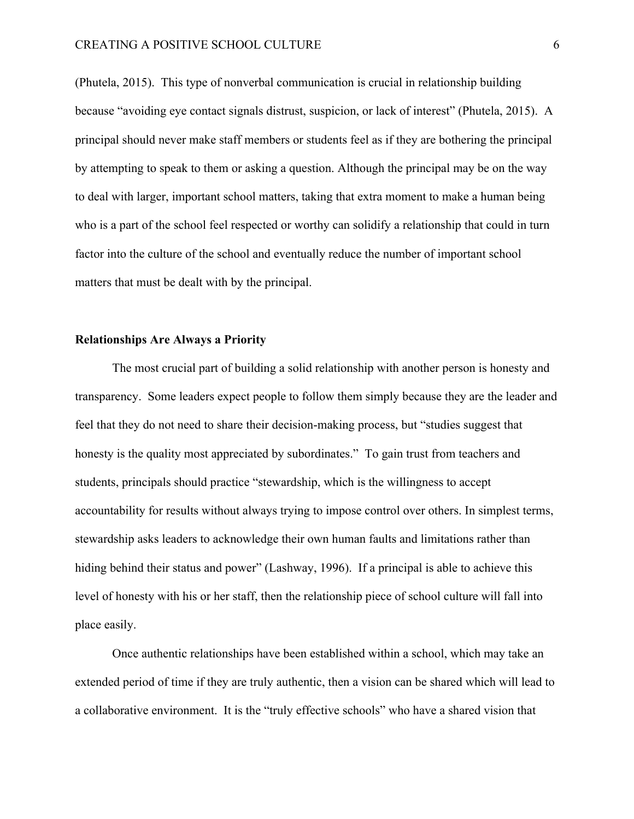(Phutela, 2015). This type of nonverbal communication is crucial in relationship building because "avoiding eye contact signals distrust, suspicion, or lack of interest" (Phutela, 2015). A principal should never make staff members or students feel as if they are bothering the principal by attempting to speak to them or asking a question. Although the principal may be on the way to deal with larger, important school matters, taking that extra moment to make a human being who is a part of the school feel respected or worthy can solidify a relationship that could in turn factor into the culture of the school and eventually reduce the number of important school matters that must be dealt with by the principal.

## **Relationships Are Always a Priority**

The most crucial part of building a solid relationship with another person is honesty and transparency. Some leaders expect people to follow them simply because they are the leader and feel that they do not need to share their decision-making process, but "studies suggest that honesty is the quality most appreciated by subordinates." To gain trust from teachers and students, principals should practice "stewardship, which is the willingness to accept accountability for results without always trying to impose control over others. In simplest terms, stewardship asks leaders to acknowledge their own human faults and limitations rather than hiding behind their status and power" (Lashway, 1996). If a principal is able to achieve this level of honesty with his or her staff, then the relationship piece of school culture will fall into place easily.

Once authentic relationships have been established within a school, which may take an extended period of time if they are truly authentic, then a vision can be shared which will lead to a collaborative environment. It is the "truly effective schools" who have a shared vision that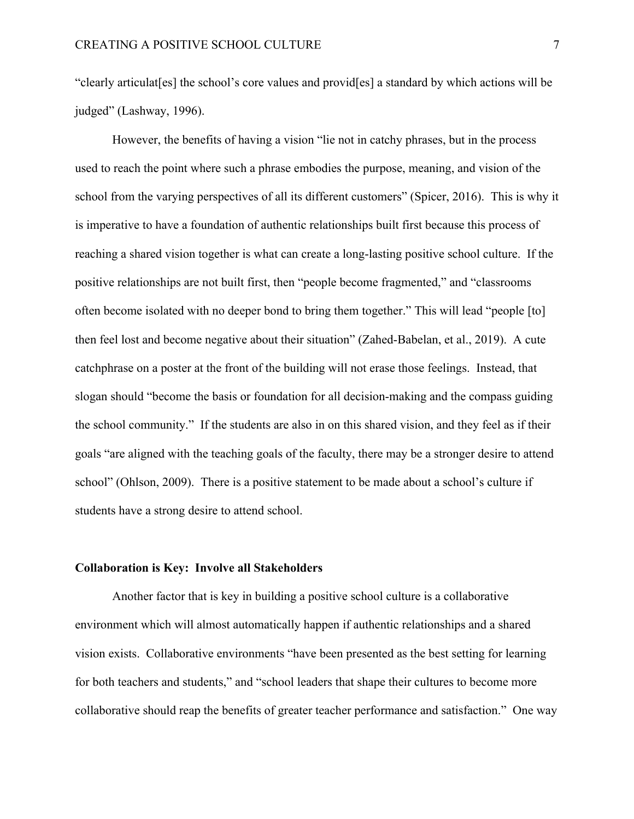"clearly articulat[es] the school's core values and provid[es] a standard by which actions will be judged" (Lashway, 1996).

However, the benefits of having a vision "lie not in catchy phrases, but in the process used to reach the point where such a phrase embodies the purpose, meaning, and vision of the school from the varying perspectives of all its different customers" (Spicer, 2016). This is why it is imperative to have a foundation of authentic relationships built first because this process of reaching a shared vision together is what can create a long-lasting positive school culture. If the positive relationships are not built first, then "people become fragmented," and "classrooms often become isolated with no deeper bond to bring them together." This will lead "people [to] then feel lost and become negative about their situation" (Zahed-Babelan, et al., 2019). A cute catchphrase on a poster at the front of the building will not erase those feelings. Instead, that slogan should "become the basis or foundation for all decision-making and the compass guiding the school community." If the students are also in on this shared vision, and they feel as if their goals "are aligned with the teaching goals of the faculty, there may be a stronger desire to attend school" (Ohlson, 2009). There is a positive statement to be made about a school's culture if students have a strong desire to attend school.

#### **Collaboration is Key: Involve all Stakeholders**

Another factor that is key in building a positive school culture is a collaborative environment which will almost automatically happen if authentic relationships and a shared vision exists. Collaborative environments "have been presented as the best setting for learning for both teachers and students," and "school leaders that shape their cultures to become more collaborative should reap the benefits of greater teacher performance and satisfaction." One way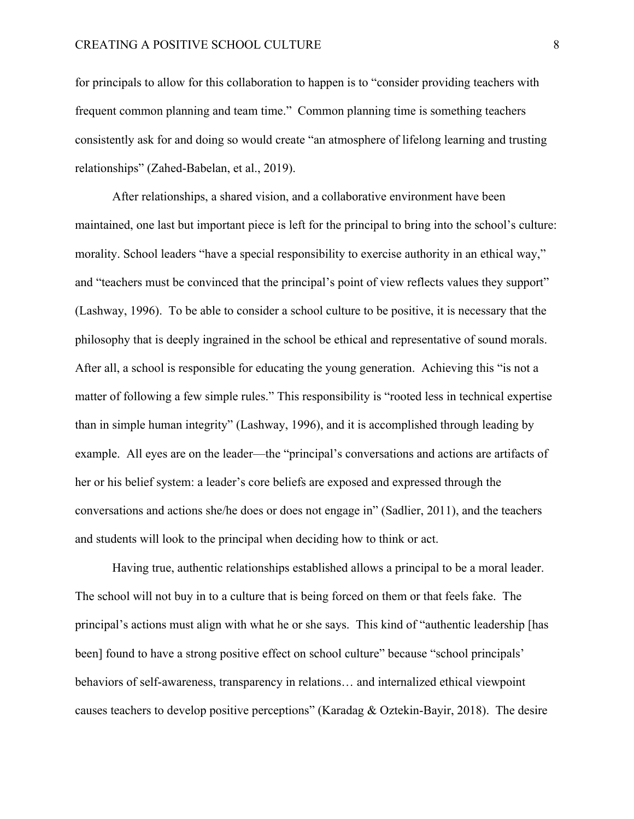for principals to allow for this collaboration to happen is to "consider providing teachers with frequent common planning and team time." Common planning time is something teachers consistently ask for and doing so would create "an atmosphere of lifelong learning and trusting relationships" (Zahed-Babelan, et al., 2019).

After relationships, a shared vision, and a collaborative environment have been maintained, one last but important piece is left for the principal to bring into the school's culture: morality. School leaders "have a special responsibility to exercise authority in an ethical way," and "teachers must be convinced that the principal's point of view reflects values they support" (Lashway, 1996). To be able to consider a school culture to be positive, it is necessary that the philosophy that is deeply ingrained in the school be ethical and representative of sound morals. After all, a school is responsible for educating the young generation. Achieving this "is not a matter of following a few simple rules." This responsibility is "rooted less in technical expertise than in simple human integrity" (Lashway, 1996), and it is accomplished through leading by example. All eyes are on the leader—the "principal's conversations and actions are artifacts of her or his belief system: a leader's core beliefs are exposed and expressed through the conversations and actions she/he does or does not engage in" (Sadlier, 2011), and the teachers and students will look to the principal when deciding how to think or act.

Having true, authentic relationships established allows a principal to be a moral leader. The school will not buy in to a culture that is being forced on them or that feels fake. The principal's actions must align with what he or she says. This kind of "authentic leadership [has been] found to have a strong positive effect on school culture" because "school principals' behaviors of self-awareness, transparency in relations… and internalized ethical viewpoint causes teachers to develop positive perceptions" (Karadag & Oztekin-Bayir, 2018). The desire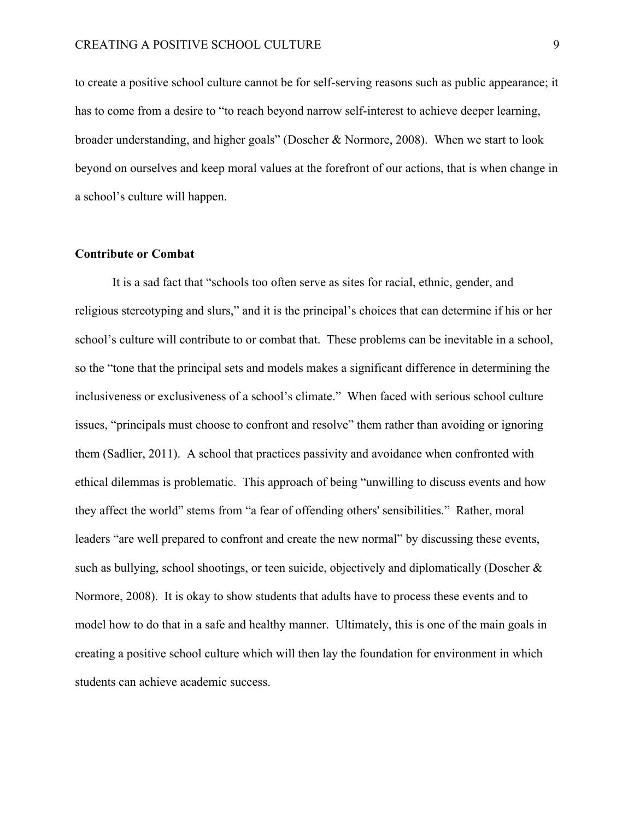to create a positive school culture cannot be for self-serving reasons such as public appearance; it has to come from a desire to "to reach beyond narrow self-interest to achieve deeper learning, broader understanding, and higher goals" (Doscher & Normore, 2008). When we start to look beyond on ourselves and keep moral values at the forefront of our actions, that is when change in a school's culture will happen.

#### **Contribute or Combat**

It is a sad fact that "schools too often serve as sites for racial, ethnic, gender, and religious stereotyping and slurs," and it is the principal's choices that can determine if his or her school's culture will contribute to or combat that. These problems can be inevitable in a school, so the "tone that the principal sets and models makes a significant difference in determining the inclusiveness or exclusiveness of a school's climate." When faced with serious school culture issues, "principals must choose to confront and resolve" them rather than avoiding or ignoring them (Sadlier, 2011). A school that practices passivity and avoidance when confronted with ethical dilemmas is problematic. This approach of being "unwilling to discuss events and how they affect the world" stems from "a fear of offending others' sensibilities." Rather, moral leaders "are well prepared to confront and create the new normal" by discussing these events, such as bullying, school shootings, or teen suicide, objectively and diplomatically (Doscher & Normore, 2008). It is okay to show students that adults have to process these events and to model how to do that in a safe and healthy manner. Ultimately, this is one of the main goals in creating a positive school culture which will then lay the foundation for environment in which students can achieve academic success.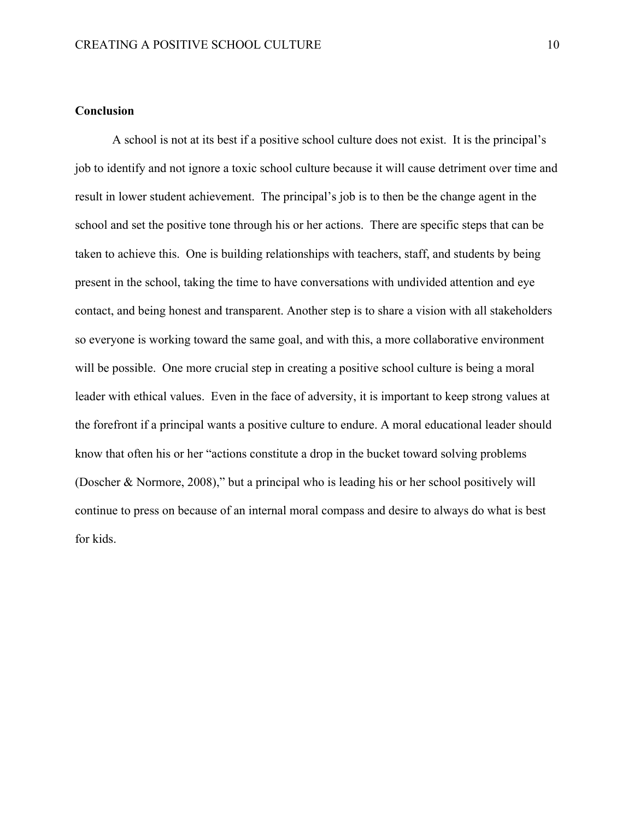# **Conclusion**

A school is not at its best if a positive school culture does not exist. It is the principal's job to identify and not ignore a toxic school culture because it will cause detriment over time and result in lower student achievement. The principal's job is to then be the change agent in the school and set the positive tone through his or her actions. There are specific steps that can be taken to achieve this. One is building relationships with teachers, staff, and students by being present in the school, taking the time to have conversations with undivided attention and eye contact, and being honest and transparent. Another step is to share a vision with all stakeholders so everyone is working toward the same goal, and with this, a more collaborative environment will be possible. One more crucial step in creating a positive school culture is being a moral leader with ethical values. Even in the face of adversity, it is important to keep strong values at the forefront if a principal wants a positive culture to endure. A moral educational leader should know that often his or her "actions constitute a drop in the bucket toward solving problems (Doscher & Normore, 2008)," but a principal who is leading his or her school positively will continue to press on because of an internal moral compass and desire to always do what is best for kids.